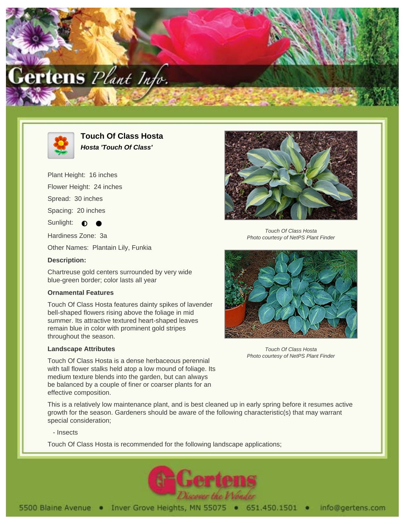



**Touch Of Class Hosta Hosta 'Touch Of Class'**

Plant Height: 16 inches

Flower Height: 24 inches

Spread: 30 inches

Spacing: 20 inches

Sunlight:  $\bullet$ 

Hardiness Zone: 3a

Other Names: Plantain Lily, Funkia

## **Description:**

Chartreuse gold centers surrounded by very wide blue-green border; color lasts all year

## **Ornamental Features**

Touch Of Class Hosta features dainty spikes of lavender bell-shaped flowers rising above the foliage in mid summer. Its attractive textured heart-shaped leaves remain blue in color with prominent gold stripes throughout the season.

## **Landscape Attributes**

Touch Of Class Hosta is a dense herbaceous perennial with tall flower stalks held atop a low mound of foliage. Its medium texture blends into the garden, but can always be balanced by a couple of finer or coarser plants for an effective composition.

This is a relatively low maintenance plant, and is best cleaned up in early spring before it resumes active growth for the season. Gardeners should be aware of the following characteristic(s) that may warrant special consideration;

- Insects

Touch Of Class Hosta is recommended for the following landscape applications;





Touch Of Class Hosta Photo courtesy of NetPS Plant Finder



Touch Of Class Hosta Photo courtesy of NetPS Plant Finder